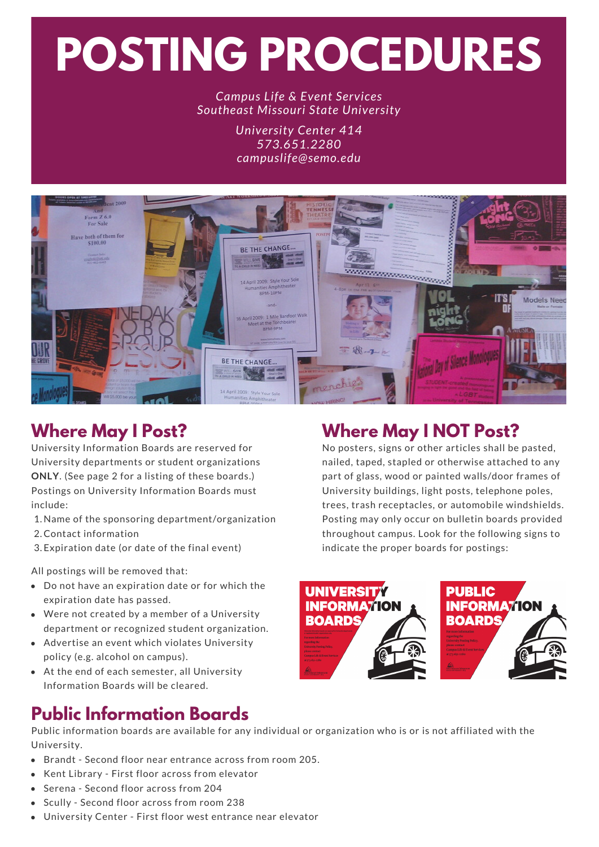# **POSTING PROCEDURES**

#### *Campus Life & Event Services Southeast Missouri State University*

*University Center 414 573.651.2280 campuslife@semo.edu*



# **Where May I Post?**

University Information Boards are reserved for University departments or student organizations **ONLY**. (See page 2 for a listing of these boards.) Postings on University Information Boards must include:

1. Name of the sponsoring department/organization

- 2.Contact information
- 3. Expiration date (or date of the final event)

All postings will be removed that:

- Do not have an expiration date or for which the expiration date has passed.
- Were not created by a member of a University department or recognized student organization.
- Advertise an event which violates University policy (e.g. alcohol on campus).
- At the end of each semester, all University Information Boards will be cleared.

## **Where May I NOT Post?**

No posters, signs or other articles shall be pasted, nailed, taped, stapled or otherwise attached to any part of glass, wood or painted walls/door frames of University buildings, light posts, telephone poles, trees, trash receptacles, or automobile windshields. Posting may only occur on bulletin boards provided throughout campus. Look for the following signs to indicate the proper boards for postings:





## **Public Information Boards**

Public information boards are available for any individual or organization who is or is not affiliated with the University.

- Brandt Second floor near entrance across from room 205.
- Kent Library First floor across from elevator
- Serena Second floor across from 204
- Scully Second floor across from room 238
- University Center First floor west entrance near elevator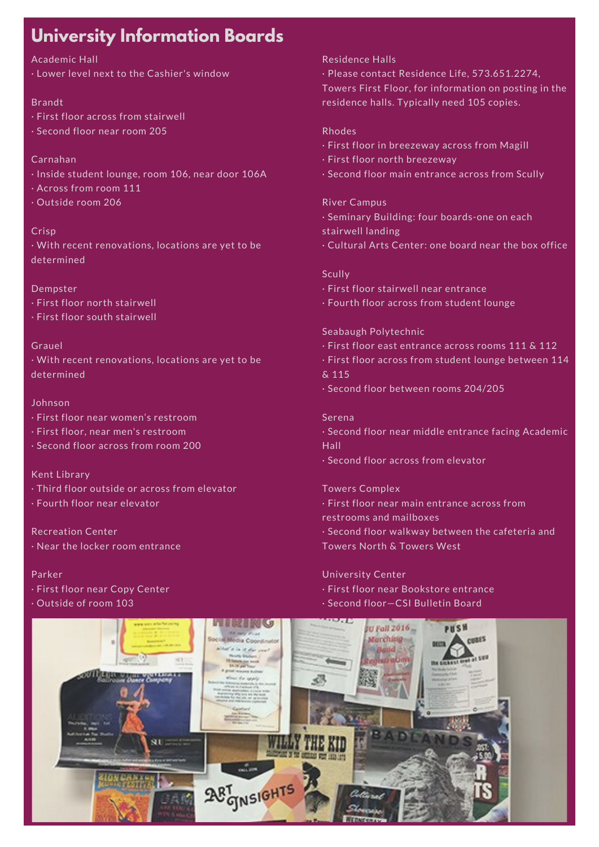## **University Information Boards**

#### Academic Hall

· Lower level next to the Cashier's window

#### Brandt

- · First floor across from stairwell
- · Second floor near room 205

#### Carnahan

- · Inside student lounge, room 106, near door 106A
- · Across from room 111
- · Outside room 206

#### Crisp

 · With recent renovations, locations are yet to be determined

#### Dempster

- · First floor north stairwell
- · First floor south stairwell

#### Grauel

 · With recent renovations, locations are yet to be determined

#### Johnson

- · First floor near women's restroom
- · First floor, near men's restroom
- · Second floor across from room 200

#### Kent Library

- · Third floor outside or across from elevator
- · Fourth floor near elevator

 · Near the locker room entrance Recreation Center

#### Parker

- · First floor near Copy Center
- · Outside of room 103

#### Residence Halls

 · Please contact Residence Life, 573.651.2274, Towers First Floor, for information on posting in the residence halls. Typically need 105 copies.

#### Rhodes

- · First floor in breezeway across from Magill
- · First floor north breezeway
- · Second floor main entrance across from Scully

#### River Campus

- · Seminary Building: four boards-one on each
- stairwell landing
- · Cultural Arts Center: one board near the box office

#### **Scully**

- · First floor stairwell near entrance
- · Fourth floor across from student lounge

#### Seabaugh Polytechnic

- · First floor east entrance across rooms 111 & 112
- · First floor across from student lounge between 114
- & 115
- · Second floor between rooms 204/205

#### Serena

- · Second floor near middle entrance facing Academic Hall
- · Second floor across from elevator

#### Towers Complex

- · First floor near main entrance across from
- restrooms and mailboxes
- · Second floor walkway between the cafeteria and
- Towers North & Towers West

#### University Center

- · First floor near Bookstore entrance
- · Second floor—CSI Bulletin Board